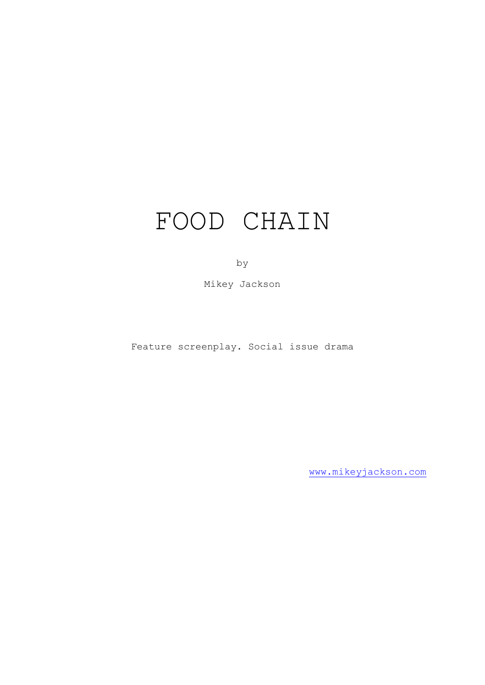# FOOD CHAIN

by

Mikey Jackson

Feature screenplay. Social issue drama

[www.mikeyjackson.com](http://www.mikeyjackson.com/)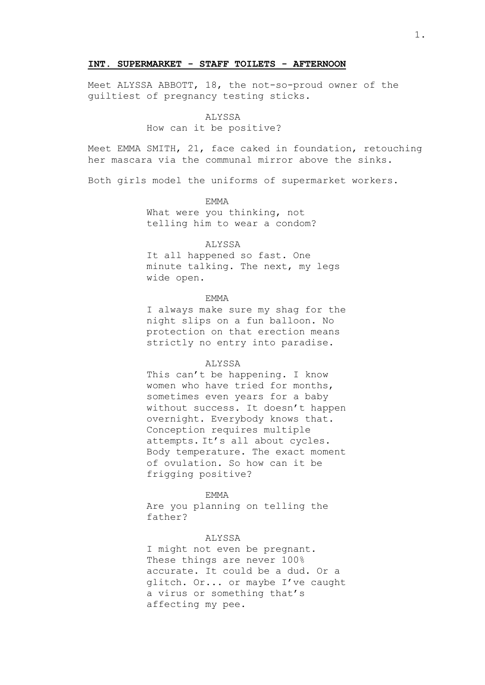### **INT. SUPERMARKET - STAFF TOILETS - AFTERNOON**

Meet ALYSSA ABBOTT, 18, the not-so-proud owner of the guiltiest of pregnancy testing sticks.

#### ALYSSA

#### How can it be positive?

Meet EMMA SMITH, 21, face caked in foundation, retouching her mascara via the communal mirror above the sinks.

Both girls model the uniforms of supermarket workers.

# EMMA

What were you thinking, not telling him to wear a condom?

#### ALYSSA

It all happened so fast. One minute talking. The next, my legs wide open.

## EMMA

I always make sure my shag for the night slips on a fun balloon. No protection on that erection means strictly no entry into paradise.

## ALYSSA

This can't be happening. I know women who have tried for months, sometimes even years for a baby without success. It doesn't happen overnight. Everybody knows that. Conception requires multiple attempts. It's all about cycles. Body temperature. The exact moment of ovulation. So how can it be frigging positive?

#### EMMA

Are you planning on telling the father?

# ALYSSA

I might not even be pregnant. These things are never 100% accurate. It could be a dud. Or a glitch. Or... or maybe I've caught a virus or something that's affecting my pee.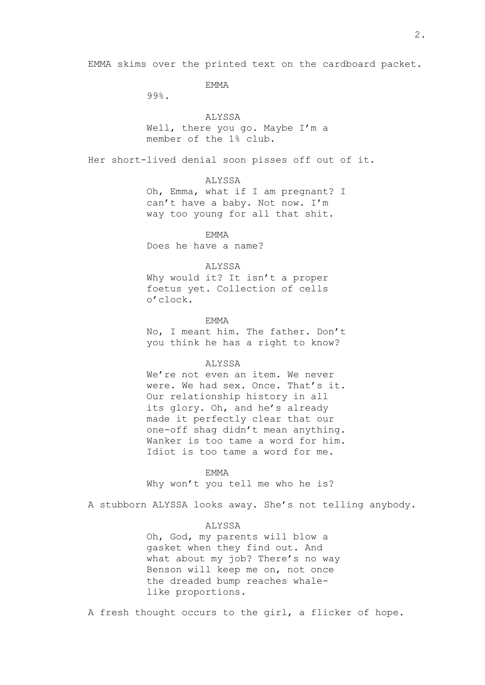EMMA

99%.

# ALYSSA

Well, there you go. Maybe I'm a member of the 1% club.

Her short-lived denial soon pisses off out of it.

## ALYSSA

Oh, Emma, what if I am pregnant? I can't have a baby. Not now. I'm way too young for all that shit.

**EMMA** 

Does he have a name?

## ALYSSA

Why would it? It isn't a proper foetus yet. Collection of cells o'clock.

EMMA No, I meant him. The father. Don't you think he has a right to know?

## ALYSSA

We're not even an item. We never were. We had sex. Once. That's it. Our relationship history in all its glory. Oh, and he's already made it perfectly clear that our one-off shag didn't mean anything. Wanker is too tame a word for him. Idiot is too tame a word for me.

EMMA

Why won't you tell me who he is?

A stubborn ALYSSA looks away. She's not telling anybody.

## ALYSSA

Oh, God, my parents will blow a gasket when they find out. And what about my job? There's no way Benson will keep me on, not once the dreaded bump reaches whalelike proportions.

A fresh thought occurs to the girl, a flicker of hope.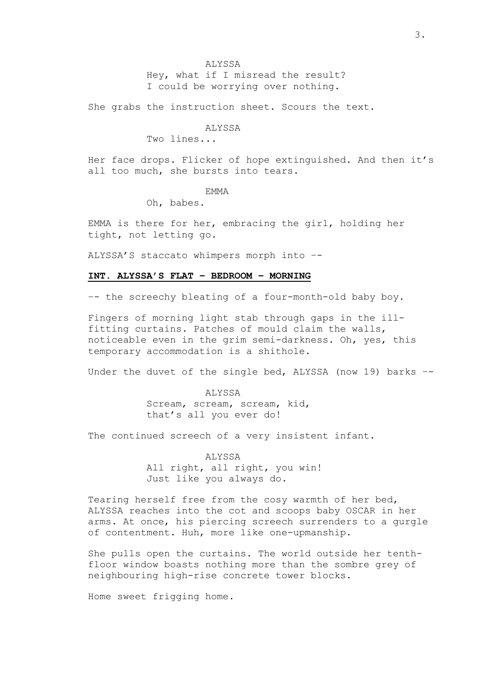Hey, what if I misread the result? I could be worrying over nothing.

She grabs the instruction sheet. Scours the text.

ALYSSA

Two lines...

Her face drops. Flicker of hope extinguished. And then it's all too much, she bursts into tears.

EMMA

Oh, babes.

EMMA is there for her, embracing the girl, holding her tight, not letting go.

ALYSSA'S staccato whimpers morph into –-

# **INT. ALYSSA'S FLAT – BEDROOM – MORNING**

–- the screechy bleating of a four-month-old baby boy.

Fingers of morning light stab through gaps in the illfitting curtains. Patches of mould claim the walls, noticeable even in the grim semi-darkness. Oh, yes, this temporary accommodation is a shithole.

Under the duvet of the single bed, ALYSSA (now 19) barks –-

ALYSSA Scream, scream, scream, kid, that's all you ever do!

The continued screech of a very insistent infant.

ALYSSA

All right, all right, you win! Just like you always do.

Tearing herself free from the cosy warmth of her bed, ALYSSA reaches into the cot and scoops baby OSCAR in her arms. At once, his piercing screech surrenders to a gurgle of contentment. Huh, more like one-upmanship.

She pulls open the curtains. The world outside her tenthfloor window boasts nothing more than the sombre grey of neighbouring high-rise concrete tower blocks.

Home sweet frigging home.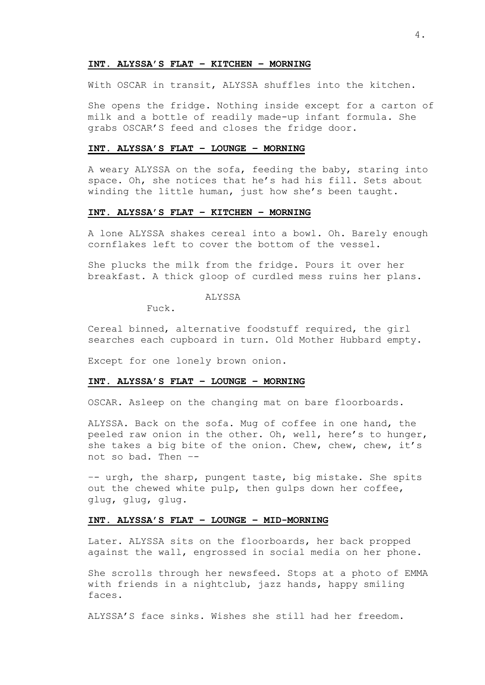#### **INT. ALYSSA'S FLAT – KITCHEN – MORNING**

With OSCAR in transit, ALYSSA shuffles into the kitchen.

She opens the fridge. Nothing inside except for a carton of milk and a bottle of readily made-up infant formula. She grabs OSCAR'S feed and closes the fridge door.

# **INT. ALYSSA'S FLAT – LOUNGE – MORNING**

A weary ALYSSA on the sofa, feeding the baby, staring into space. Oh, she notices that he's had his fill. Sets about winding the little human, just how she's been taught.

# **INT. ALYSSA'S FLAT – KITCHEN – MORNING**

A lone ALYSSA shakes cereal into a bowl. Oh. Barely enough cornflakes left to cover the bottom of the vessel.

She plucks the milk from the fridge. Pours it over her breakfast. A thick gloop of curdled mess ruins her plans.

ALYSSA

Fuck.

Cereal binned, alternative foodstuff required, the girl searches each cupboard in turn. Old Mother Hubbard empty.

Except for one lonely brown onion.

## **INT. ALYSSA'S FLAT – LOUNGE – MORNING**

OSCAR. Asleep on the changing mat on bare floorboards.

ALYSSA. Back on the sofa. Mug of coffee in one hand, the peeled raw onion in the other. Oh, well, here's to hunger, she takes a big bite of the onion. Chew, chew, chew, it's not so bad. Then –-

–- urgh, the sharp, pungent taste, big mistake. She spits out the chewed white pulp, then gulps down her coffee, glug, glug, glug.

# **INT. ALYSSA'S FLAT – LOUNGE – MID-MORNING**

Later. ALYSSA sits on the floorboards, her back propped against the wall, engrossed in social media on her phone.

She scrolls through her newsfeed. Stops at a photo of EMMA with friends in a nightclub, jazz hands, happy smiling faces.

ALYSSA'S face sinks. Wishes she still had her freedom.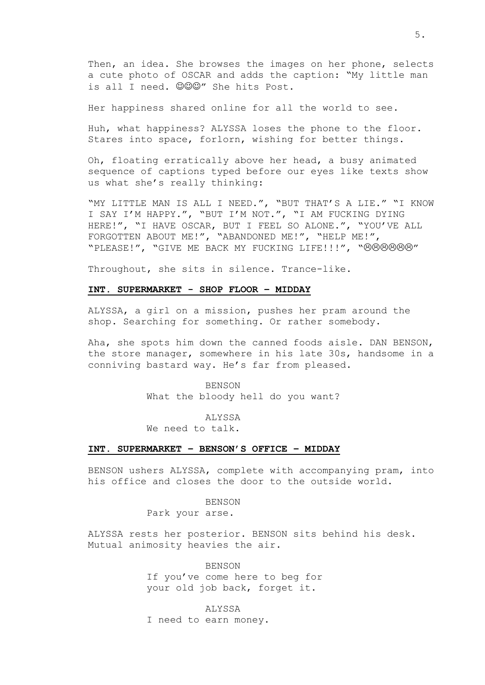Then, an idea. She browses the images on her phone, selects a cute photo of OSCAR and adds the caption: "My little man is all I need. @@@" She hits Post.

Her happiness shared online for all the world to see.

Huh, what happiness? ALYSSA loses the phone to the floor. Stares into space, forlorn, wishing for better things.

Oh, floating erratically above her head, a busy animated sequence of captions typed before our eyes like texts show us what she's really thinking:

"MY LITTLE MAN IS ALL I NEED.", "BUT THAT'S A LIE." "I KNOW I SAY I'M HAPPY.", "BUT I'M NOT.", "I AM FUCKING DYING HERE!", "I HAVE OSCAR, BUT I FEEL SO ALONE.", "YOU'VE ALL FORGOTTEN ABOUT ME!", "ABANDONED ME!", "HELP ME!", "PLEASE!", "GIVE ME BACK MY FUCKING LIFE!!!", "0000000"

Throughout, she sits in silence. Trance-like.

## **INT. SUPERMARKET - SHOP FLOOR – MIDDAY**

ALYSSA, a girl on a mission, pushes her pram around the shop. Searching for something. Or rather somebody.

Aha, she spots him down the canned foods aisle. DAN BENSON, the store manager, somewhere in his late 30s, handsome in a conniving bastard way. He's far from pleased.

> BENSON What the bloody hell do you want?

> > ALYSSA

We need to talk.

### **INT. SUPERMARKET – BENSON'S OFFICE – MIDDAY**

BENSON ushers ALYSSA, complete with accompanying pram, into his office and closes the door to the outside world.

BENSON

Park your arse.

ALYSSA rests her posterior. BENSON sits behind his desk. Mutual animosity heavies the air.

> BENSON If you've come here to beg for your old job back, forget it.

ALYSSA I need to earn money.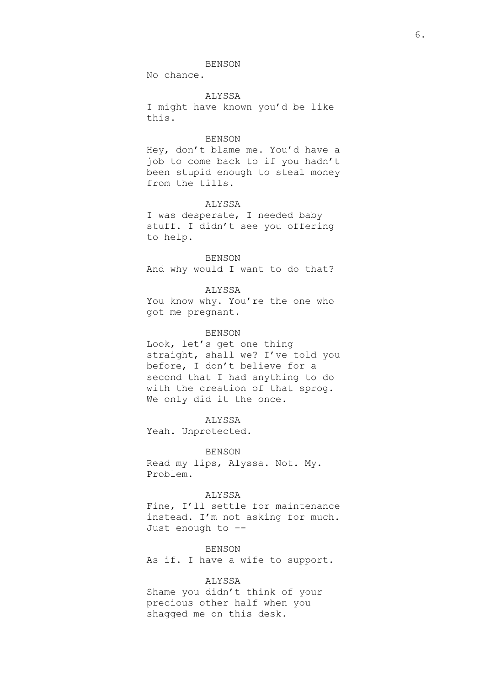# BENSON

No chance.

# ALYSSA

I might have known you'd be like this.

# BENSON

Hey, don't blame me. You'd have a job to come back to if you hadn't been stupid enough to steal money from the tills.

## ALYSSA

I was desperate, I needed baby stuff. I didn't see you offering to help.

BENSON And why would I want to do that?

ALYSSA You know why. You're the one who got me pregnant.

#### BENSON

Look, let's get one thing straight, shall we? I've told you before, I don't believe for a second that I had anything to do with the creation of that sprog. We only did it the once.

ALYSSA

Yeah. Unprotected.

BENSON Read my lips, Alyssa. Not. My. Problem.

## ALYSSA

Fine, I'll settle for maintenance instead. I'm not asking for much. Just enough to –-

**BENSON** 

As if. I have a wife to support.

## ALYSSA

Shame you didn't think of your precious other half when you shagged me on this desk.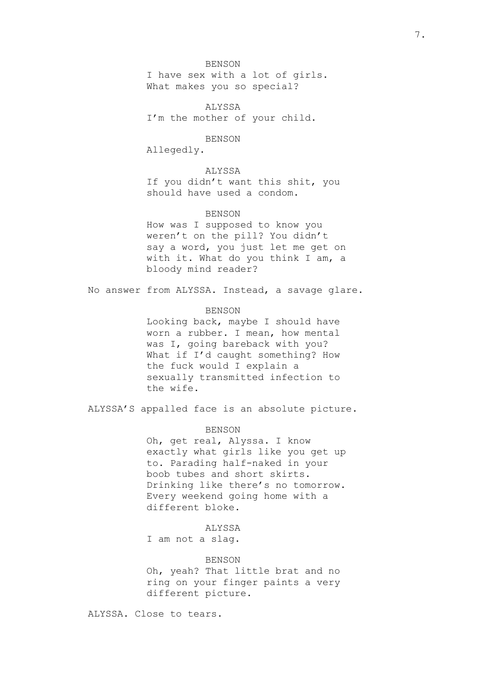## BENSON

I have sex with a lot of girls. What makes you so special?

**ALYSSA** I'm the mother of your child.

## BENSON

Allegedly.

# ALYSSA

If you didn't want this shit, you should have used a condom.

# **BENSON**

How was I supposed to know you weren't on the pill? You didn't say a word, you just let me get on with it. What do you think I am, a bloody mind reader?

No answer from ALYSSA. Instead, a savage glare.

## BENSON

Looking back, maybe I should have worn a rubber. I mean, how mental was I, going bareback with you? What if I'd caught something? How the fuck would I explain a sexually transmitted infection to the wife.

ALYSSA'S appalled face is an absolute picture.

#### BENSON

Oh, get real, Alyssa. I know exactly what girls like you get up to. Parading half-naked in your boob tubes and short skirts. Drinking like there's no tomorrow. Every weekend going home with a different bloke.

# ALYSSA

I am not a slag.

## BENSON

Oh, yeah? That little brat and no ring on your finger paints a very different picture.

ALYSSA. Close to tears.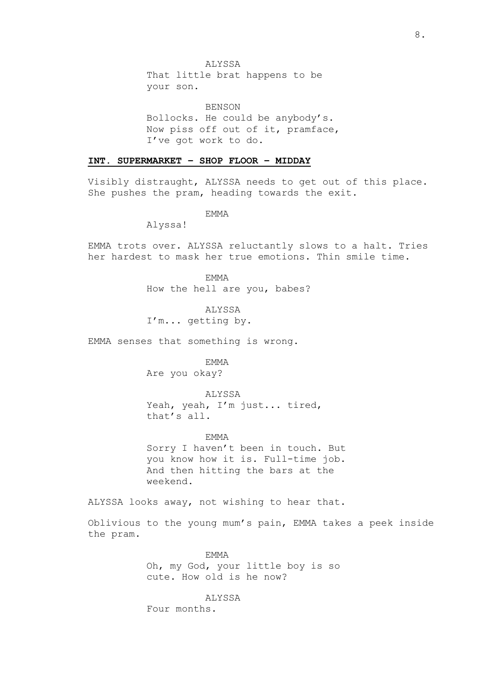That little brat happens to be your son.

**BENSON** Bollocks. He could be anybody's. Now piss off out of it, pramface, I've got work to do.

# **INT. SUPERMARKET – SHOP FLOOR – MIDDAY**

Visibly distraught, ALYSSA needs to get out of this place. She pushes the pram, heading towards the exit.

EMMA

Alyssa!

EMMA trots over. ALYSSA reluctantly slows to a halt. Tries her hardest to mask her true emotions. Thin smile time.

> EMMA How the hell are you, babes?

ALYSSA I'm... getting by.

EMMA senses that something is wrong.

**EMMA** 

Are you okay?

ALYSSA Yeah, yeah, I'm just... tired, that's all.

EMMA

Sorry I haven't been in touch. But you know how it is. Full-time job. And then hitting the bars at the weekend.

ALYSSA looks away, not wishing to hear that.

Oblivious to the young mum's pain, EMMA takes a peek inside the pram.

> **EMMA** Oh, my God, your little boy is so cute. How old is he now?

ALYSSA Four months.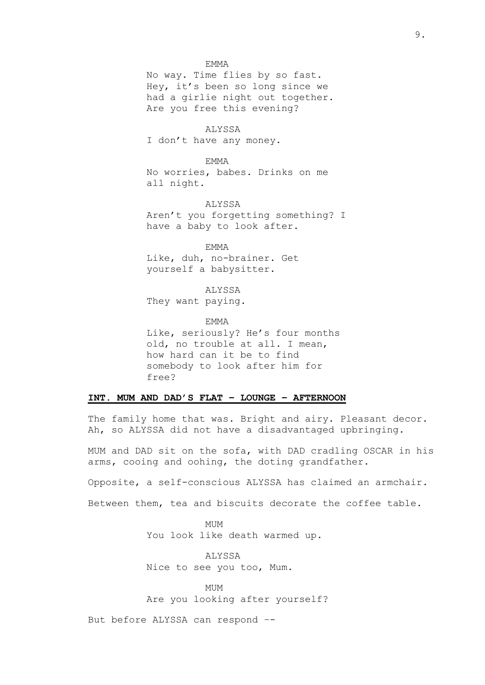#### EMMA

No way. Time flies by so fast. Hey, it's been so long since we had a girlie night out together. Are you free this evening?

#### ALYSSA

I don't have any money.

#### EMMA

No worries, babes. Drinks on me all night.

ALYSSA Aren't you forgetting something? I have a baby to look after.

EMMA Like, duh, no-brainer. Get yourself a babysitter.

ALYSSA They want paying.

EMMA

Like, seriously? He's four months old, no trouble at all. I mean, how hard can it be to find somebody to look after him for free?

# **INT. MUM AND DAD'S FLAT – LOUNGE – AFTERNOON**

The family home that was. Bright and airy. Pleasant decor. Ah, so ALYSSA did not have a disadvantaged upbringing.

MUM and DAD sit on the sofa, with DAD cradling OSCAR in his arms, cooing and oohing, the doting grandfather.

Opposite, a self-conscious ALYSSA has claimed an armchair.

Between them, tea and biscuits decorate the coffee table.

MUM You look like death warmed up.

ALYSSA Nice to see you too, Mum.

MUM Are you looking after yourself?

But before ALYSSA can respond –-